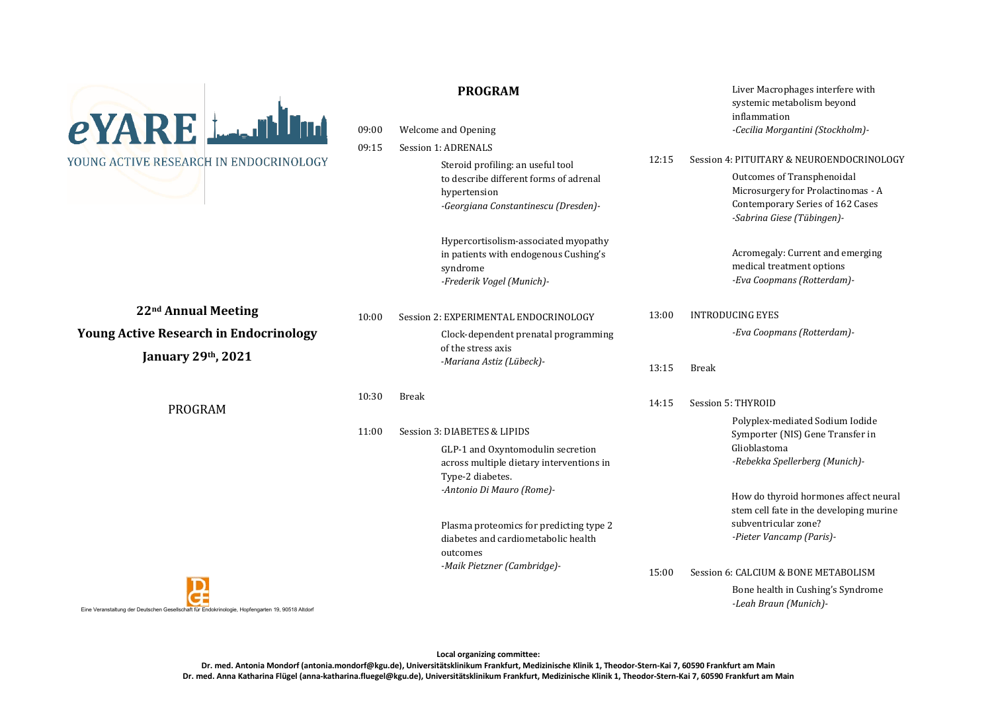

# **PROGRAM**

09:00 Welcome and Opening

09:15 Session 1: ADRENALS

Steroid profiling: an useful tool to describe different forms of adrenal hypertension *-Georgiana Constantinescu (Dresden)-* 

**22nd Annual Meeting Young Active Research in Endocrinology**

**January 29th, 2021** 

PROGRAM

|       | acorgiana constantinesca portsaen j |                                                                                                                        |       | -Sabrina Giese (Tübingen)-                                                                  |
|-------|-------------------------------------|------------------------------------------------------------------------------------------------------------------------|-------|---------------------------------------------------------------------------------------------|
|       |                                     | Hypercortisolism-associated myopathy<br>in patients with endogenous Cushing's<br>syndrome<br>-Frederik Vogel (Munich)- |       | Acromegaly: Current and emerging<br>medical treatment options<br>-Eva Coopmans (Rotterdam)- |
| 10:00 |                                     | Session 2: EXPERIMENTAL ENDOCRINOLOGY                                                                                  | 13:00 | <b>INTRODUCING EYES</b>                                                                     |
|       |                                     | Clock-dependent prenatal programming<br>of the stress axis                                                             |       | -Eva Coopmans (Rotterdam)-                                                                  |
|       |                                     | -Mariana Astiz (Lübeck)-                                                                                               | 13:15 | <b>Break</b>                                                                                |
| 10:30 | <b>Break</b>                        |                                                                                                                        | 14:15 | Session 5: THYROID                                                                          |
| 11:00 | Session 3: DIABETES & LIPIDS        |                                                                                                                        |       | Polyplex-mediated Sodium Iodide<br>Symporter (NIS) Gene Transfer in<br>Glioblastoma         |
|       |                                     | GLP-1 and Oxyntomodulin secretion<br>across multiple dietary interventions in<br>Type-2 diabetes.                      |       | -Rebekka Spellerberg (Munich)-                                                              |
|       |                                     | -Antonio Di Mauro (Rome)-                                                                                              |       | How do thyroid hormones affect neural<br>stem cell fate in the developing murine            |
|       |                                     | Plasma proteomics for predicting type 2<br>diabetes and cardiometabolic health<br>outcomes                             |       | subventricular zone?<br>-Pieter Vancamp (Paris)-                                            |
|       |                                     | -Maik Pietzner (Cambridge)-                                                                                            | 15:00 | Session 6: CALCIUM & BONE METABOLISM                                                        |
|       |                                     |                                                                                                                        |       | Bone health in Cushing's Syndrome<br>-Leah Braun (Munich)-                                  |
|       |                                     |                                                                                                                        |       |                                                                                             |

Liver Macrophages interfere with systemic metabolism beyond

*-Cecilia Morgantini (Stockholm)-* 

Outcomes of Transphenoidal Microsurgery for Prolactinomas - A Contemporary Series of 162 Cases

inflammation

12:15 Session 4: PITUITARY & NEUROENDOCRINOLOGY



Eine Veranstaltung der Deutschen Gesellschaft für Endokrinologie, Hopfengarten 19, 90518 Altdorf

**Local organizing committee:** 

**Dr. med. Antonia Mondorf (antonia.mondorf@kgu.de), Universitätsklinikum Frankfurt, Medizinische Klinik 1, Theodor-Stern-Kai 7, 60590 Frankfurt am Main**

**Dr. med. Anna Katharina Flügel (anna-katharina.fluegel@kgu.de), Universitätsklinikum Frankfurt, Medizinische Klinik 1, Theodor-Stern-Kai 7, 60590 Frankfurt am Main**